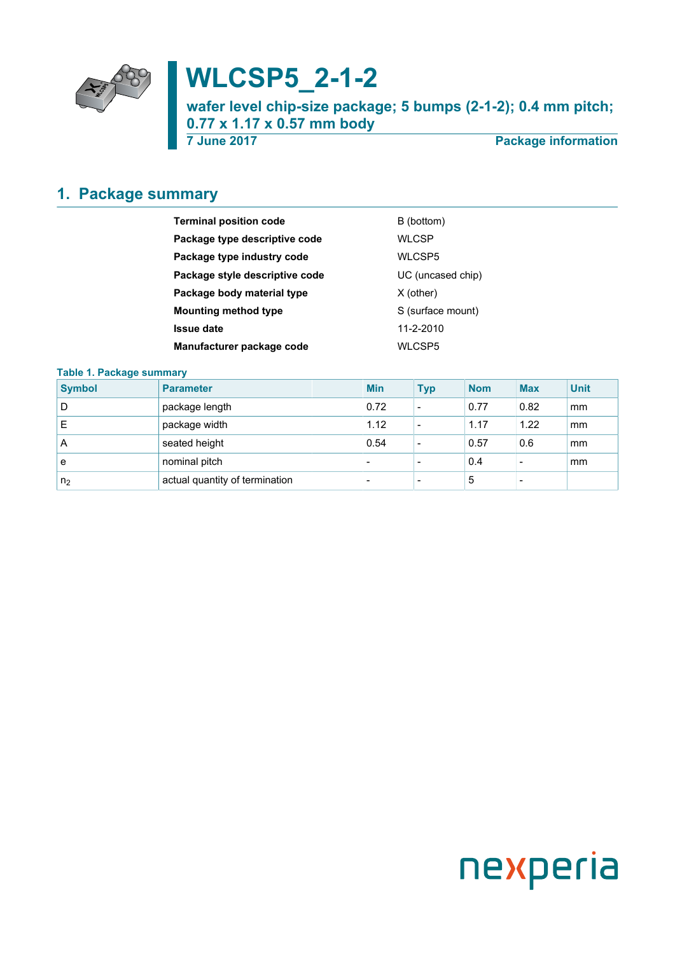

# **WLCSP5\_2-1-2**

**wafer level chip-size package; 5 bumps (2-1-2); 0.4 mm pitch; 0.77 x 1.17 x 0.57 mm body**

**7 June 2017 Package information**

## <span id="page-0-0"></span>**1. Package summary**

| <b>Terminal position code</b>  | B (bottom)        |
|--------------------------------|-------------------|
| Package type descriptive code  | <b>WLCSP</b>      |
| Package type industry code     | WLCSP5            |
| Package style descriptive code | UC (uncased chip) |
| Package body material type     | $X$ (other)       |
| <b>Mounting method type</b>    | S (surface mount) |
| <b>Issue date</b>              | 11-2-2010         |
| Manufacturer package code      | WLCSP5            |

#### **Table 1. Package summary**

| <b>Symbol</b>  | <b>Parameter</b>               | <b>Min</b>               | <b>Typ</b>               | <b>Nom</b> | <b>Max</b>               | <b>Unit</b> |
|----------------|--------------------------------|--------------------------|--------------------------|------------|--------------------------|-------------|
| D              | package length                 | 0.72                     | $\overline{\phantom{a}}$ | 0.77       | 0.82                     | mm          |
| E              | package width                  | 1.12                     | $\overline{\phantom{a}}$ | 1.17       | 1.22                     | mm          |
| A              | seated height                  | 0.54                     | $\overline{\phantom{a}}$ | 0.57       | 0.6                      | mm          |
| е              | nominal pitch                  | $\overline{\phantom{0}}$ | $\overline{\phantom{0}}$ | 0.4        | $\overline{\phantom{a}}$ | mm          |
| n <sub>2</sub> | actual quantity of termination | $\overline{\phantom{0}}$ | $\overline{\phantom{0}}$ | 5          |                          |             |

# nexperia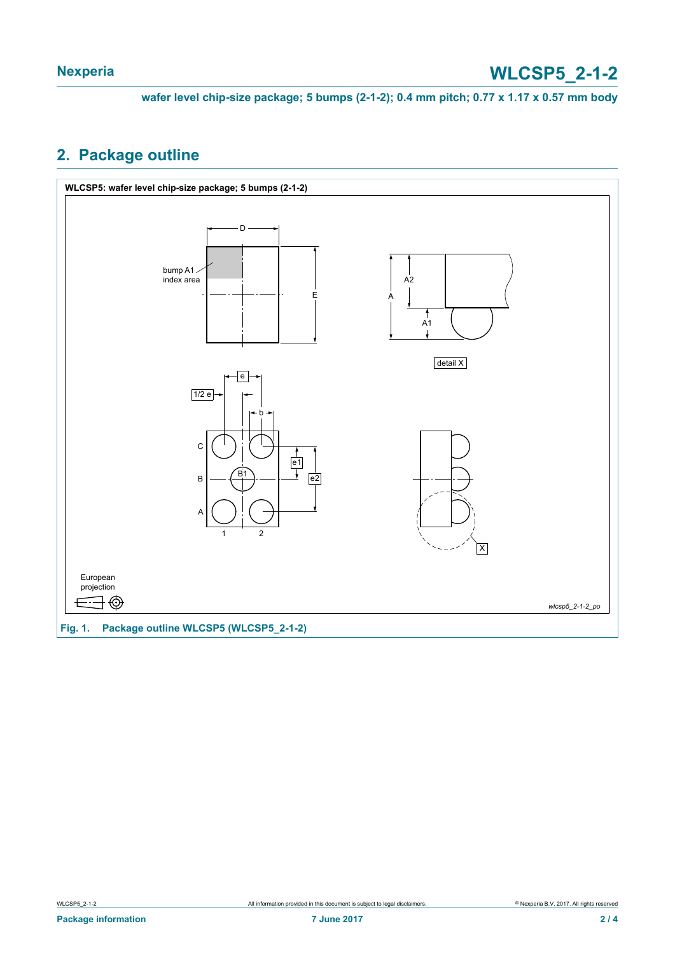**wafer level chip-size package; 5 bumps (2-1-2); 0.4 mm pitch; 0.77 x 1.17 x 0.57 mm body**

#### <span id="page-1-0"></span>**2. Package outline**

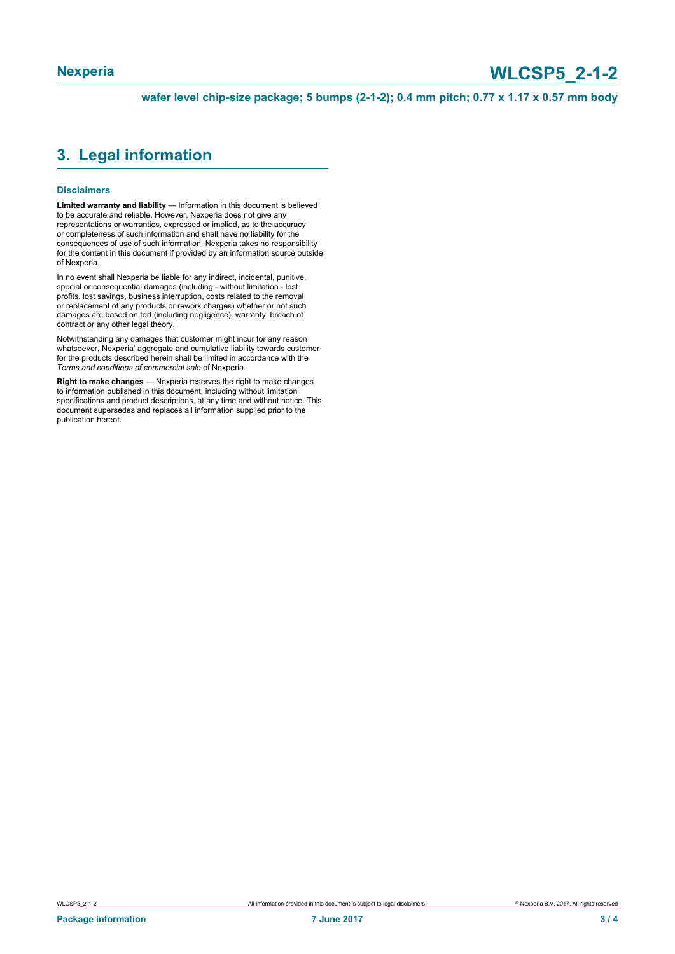## **Nexperia WLCSP5\_2-1-2**

**wafer level chip-size package; 5 bumps (2-1-2); 0.4 mm pitch; 0.77 x 1.17 x 0.57 mm body**

#### <span id="page-2-0"></span>**3. Legal information**

#### **Disclaimers**

**Limited warranty and liability** — Information in this document is believed to be accurate and reliable. However, Nexperia does not give any representations or warranties, expressed or implied, as to the accuracy or completeness of such information and shall have no liability for the consequences of use of such information. Nexperia takes no responsibility for the content in this document if provided by an information source outside of Nexperia.

In no event shall Nexperia be liable for any indirect, incidental, punitive, special or consequential damages (including - without limitation - lost profits, lost savings, business interruption, costs related to the removal or replacement of any products or rework charges) whether or not such damages are based on tort (including negligence), warranty, breach of contract or any other legal theory.

Notwithstanding any damages that customer might incur for any reason whatsoever, Nexperia' aggregate and cumulative liability towards customer for the products described herein shall be limited in accordance with the *Terms and conditions of commercial sale* of Nexperia.

**Right to make changes** — Nexperia reserves the right to make changes to information published in this document, including without limitation specifications and product descriptions, at any time and without notice. This document supersedes and replaces all information supplied prior to the publication hereof.